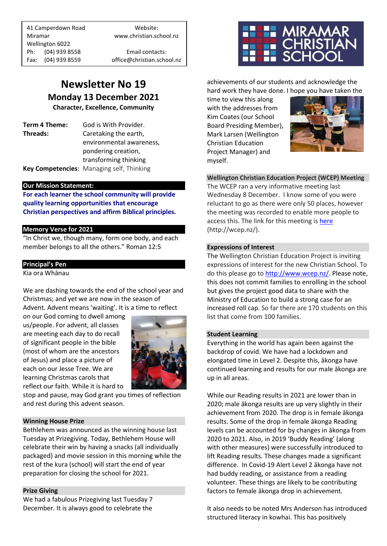41 Camperdown Road Website: Miramar www.christian.school.nz Wellington 6022 Ph: (04) 939 8558 Email contacts:

Fax: (04) 939 8559 office@christian.school.nz

# **Newsletter No 19 Monday 13 December 2021**

**Character, Excellence, Community**

**Term 4 Theme:** God is With Provider. **Threads:** Caretaking the earth,

environmental awareness, pondering creation, transforming thinking **Key Competencies**: Managing self, Thinking

## **Our Mission Statement:**

**For each learner the school community will provide quality learning opportunities that encourage Christian perspectives and affirm Biblical principles***.*

## **Memory Verse for 2021**

"In Christ we, though many, form one body, and each member belongs to all the others." Roman 12:5

## **Principal's Pen**

Kia ora Whānau

We are dashing towards the end of the school year and Christmas; and yet we are now in the season of Advent. Advent means 'waiting'. It is a time to reflect

on our God coming to dwell among us/people. For advent, all classes are meeting each day to do recall of significant people in the bible (most of whom are the ancestors of Jesus) and place a picture of each on our Jesse Tree. We are learning Christmas carols that reflect our faith. While it is hard to



stop and pause, may God grant you times of reflection and rest during this advent season.

## **Winning House Prize**

Bethlehem was announced as the winning house last Tuesday at Prizegiving. Today, Bethlehem House will celebrate their win by having a snacks (all individually packaged) and movie session in this morning while the rest of the kura (school) will start the end of year preparation for closing the school for 2021.

### **Prize Giving**

We had a fabulous Prizegiving last Tuesday 7 December. It is always good to celebrate the



achievements of our students and acknowledge the hard work they have done. I hope you have taken the

time to view this along with the addresses from Kim Coates (our School Board Presiding Member), Mark Larsen (Wellington Christian Education Project Manager) and myself.



**Wellington Christian Education Project (WCEP) Meeting** The WCEP ran a very informative meeting last Wednesday 8 December. I know some of you were reluctant to go as there were only 50 places, however the meeting was recorded to enable more people to access this. The link for this meeting is [here](http://wcep.nz/) (http://wcep.nz/).

### **Expressions of Interest**

The Wellington Christian Education Project is inviting expressions of interest for the new Christian School. To do this please go t[o http://www.wcep.nz/.](http://www.wcep.nz/) Please note, this does not commit families to enrolling in the school but gives the project good data to share with the Ministry of Education to build a strong case for an increased roll cap. So far there are 170 students on this list that come from 100 families.

### **Student Learning**

Everything in the world has again been against the backdrop of covid. We have had a lockdown and elongated time in Level 2. Despite this, ākonga have continued learning and results for our male ākonga are up in all areas.

While our Reading results in 2021 are lower than in 2020; male ākonga results are up very slightly in their achievement from 2020. The drop is in female ākonga results. Some of the drop in female ākonga Reading levels can be accounted for by changes in ākonga from 2020 to 2021. Also, in 2019 'Buddy Reading' (along with other measures) were successfully introduced to lift Reading results. These changes made a significant difference. In Covid-19 Alert Level 2 ākonga have not had buddy reading, or assistance from a reading volunteer. These things are likely to be contributing factors to female ākonga drop in achievement.

It also needs to be noted Mrs Anderson has introduced structured literacy in kowhai. This has positively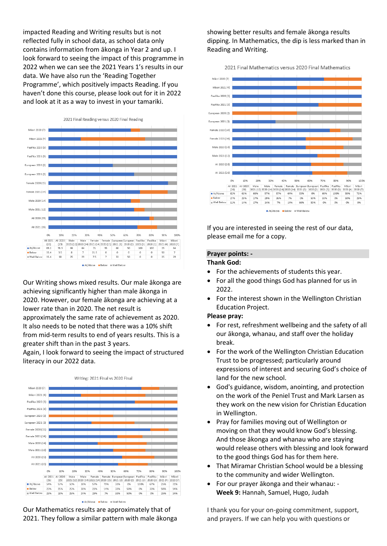impacted Reading and Writing results but is not reflected fully in school data, as school data only contains information from ākonga in Year 2 and up. I look forward to seeing the impact of this programme in 2022 when we can see the 2021 Years 1's results in our data. We have also run the 'Reading Together Programme', which positively impacts Reading. If you haven't done this course, please look out for it in 2022 and look at it as a way to invest in your tamariki.



Our Writing shows mixed results. Our male ākonga are achieving significantly higher than male ākonga in 2020. However, our female ākonga are achieving at a lower rate than in 2020. The net result is approximately the same rate of achievement as 2020. It also needs to be noted that there was a 10% shift from mid-term results to end of years results. This is a greater shift than in the past 3 years.

Again, I look forward to seeing the impact of structured literacy in our 2022 data.



Our Mathematics results are approximately that of 2021. They follow a similar pattern with male ākonga showing better results and female ākonga results dipping. In Mathematics, the dip is less marked than in Reading and Writing.

2021 Final Mathematics versus 2020 Final Mathematics



If you are interested in seeing the rest of our data, please email me for a copy.

# **Prayer points: -**

## **Thank God:**

- For the achievements of students this year.
- For all the good things God has planned for us in 2022.
- For the interest shown in the Wellington Christian Education Project.

#### **Please pray:**

- For rest, refreshment wellbeing and the safety of all our ākonga, whanau, and staff over the holiday break.
- For the work of the Wellington Christian Education Trust to be progressed; particularly around expressions of interest and securing God's choice of land for the new school.
- God's guidance, wisdom, anointing, and protection on the work of the Peniel Trust and Mark Larsen as they work on the new vision for Christian Education in Wellington.
- Pray for families moving out of Wellington or moving on that they would know God's blessing. And those ākonga and whanau who are staying would release others with blessing and look forward to the good things God has for them here.
- That Miramar Christian School would be a blessing to the community and wider Wellington.
- For our prayer ākonga and their whanau: **Week 9:** Hannah, Samuel, Hugo, Judah

I thank you for your on-going commitment, support, and prayers. If we can help you with questions or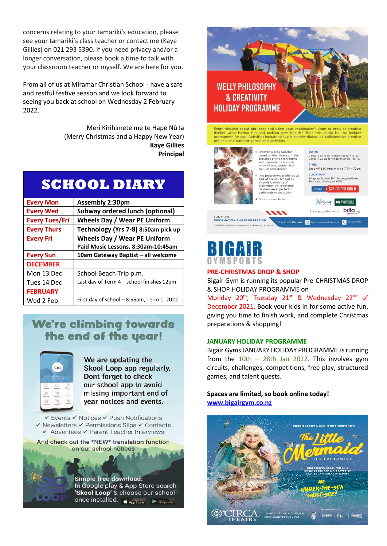concerns relating to your tamariki's education, please see your tamariki's class teacher or contact me (Kaye Gillies) on 021 293 5390. If you need privacy and/or a longer conversation, please book a time to talk with your classroom teacher or myself. We are here for you.

From all of us at Miramar Christian School - have a safe and restful festive season and we look forward to seeing you back at school on Wednesday 2 February 2022.

> Meri Kirihimete me te Hape Nū Ia (Merry Christmas and a Happy New Year) **Kaye Gillies Principal**

| <b>SCHOOL DIARY</b> |  |  |
|---------------------|--|--|
|                     |  |  |

| <b>Every Mon</b>      | <b>Assembly 2:30pm</b>                    |
|-----------------------|-------------------------------------------|
| <b>Every Wed</b>      | <b>Subway ordered lunch (optional)</b>    |
| <b>Every Tues/Fri</b> | <b>Wheels Day / Wear PE Uniform</b>       |
| <b>Every Thurs</b>    | Technology (Yrs 7-8) 8:50am pick up       |
| <b>Every Fri</b>      | <b>Wheels Day / Wear PE Uniform</b>       |
|                       | Paid Music Lessons, 8:30am-10:45am        |
| <b>Every Sun</b>      | 10am Gateway Baptist - all welcome        |
| <b>DECEMBER</b>       |                                           |
| Mon 13 Dec            |                                           |
|                       | School Beach Trip p.m.                    |
| Tues 14 Dec           | Last day of Term 4 - school finishes 12pm |
| <b>FEBRUARY</b>       |                                           |

# **We're climbing towards** the end of the year!



We are updating the Skool Loop app regularly. Dont forget to check our school app to avoid missing important end of year notices and events.

✔ Events ✔ Notices ✔ Push Notifications √ Newsletters √ Permissions Slips √ Contacts ✔ Absentees ✔ Parent Teacher Interviews

And check out the \*NEW\* translation function on our school notices

> **Simple free download:** In Google play & App Store search 'Skool Loop' & choose our school once installed. **CApp Store**  $\rightarrow$  Google pla





## **PRE-CHRISTMAS DROP & SHOP**

Bigair Gym is running its popular Pre-CHRISTMAS DROP & SHOP HOLIDAY PROGRAMME on

Monday 20<sup>th</sup>, Tuesday 21<sup>st</sup> & Wednesday 22<sup>nd</sup> of December 2021. Book your kids in for some active fun, giving you time to finish work, and complete Christmas preparations & shopping!

## **JANUARY HOLIDAY PROGRAMME**

Bigair Gyms JANUARY HOLIDAY PROGRAMME is running from the  $10$ th – 28th Jan 2022. This involves gym circuits, challenges, competitions, free play, structured games, and talent quests.

**Spaces are limited, so book online today! [www.bigairgym.co.nz](http://www.bigairgym.co.nz/)**